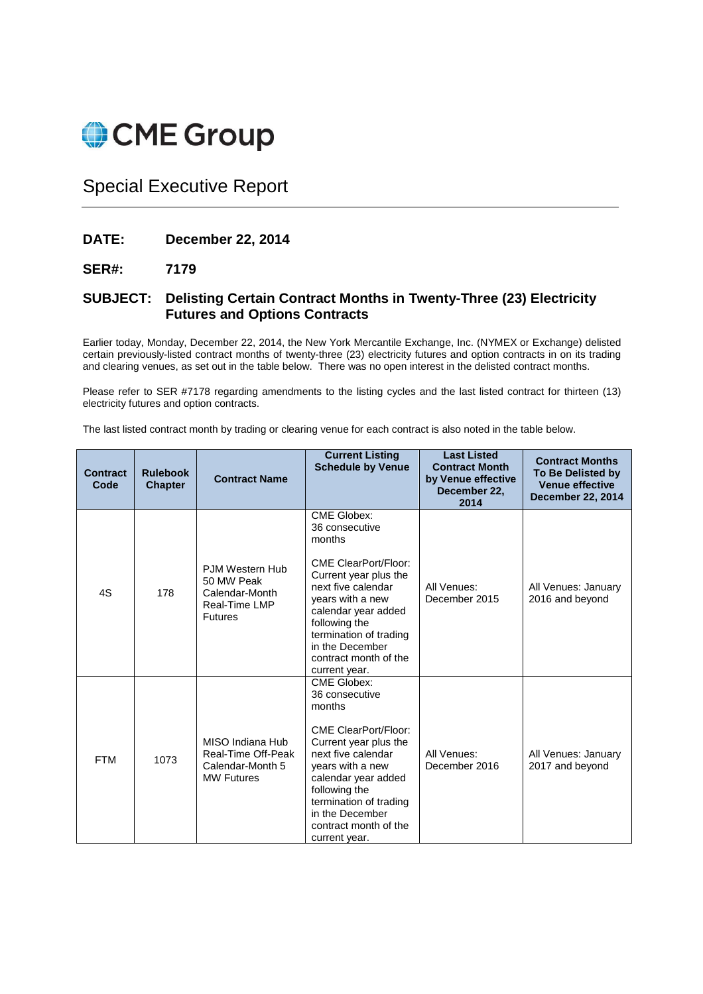

## Special Executive Report

## **DATE: December 22, 2014**

## **SER#: 7179**

## **SUBJECT: Delisting Certain Contract Months in Twenty-Three (23) Electricity Futures and Options Contracts**

Earlier today, Monday, December 22, 2014, the New York Mercantile Exchange, Inc. (NYMEX or Exchange) delisted certain previously-listed contract months of twenty-three (23) electricity futures and option contracts in on its trading and clearing venues, as set out in the table below. There was no open interest in the delisted contract months.

Please refer to SER #7178 regarding amendments to the listing cycles and the last listed contract for thirteen (13) electricity futures and option contracts.

The last listed contract month by trading or clearing venue for each contract is also noted in the table below.

| <b>Contract</b><br>Code | <b>Rulebook</b><br><b>Chapter</b> | <b>Contract Name</b>                                                               | <b>Current Listing</b><br><b>Schedule by Venue</b>                                                                                                                                                                                                                              | <b>Last Listed</b><br><b>Contract Month</b><br>by Venue effective<br>December 22,<br>2014 | <b>Contract Months</b><br><b>To Be Delisted by</b><br><b>Venue effective</b><br><b>December 22, 2014</b> |
|-------------------------|-----------------------------------|------------------------------------------------------------------------------------|---------------------------------------------------------------------------------------------------------------------------------------------------------------------------------------------------------------------------------------------------------------------------------|-------------------------------------------------------------------------------------------|----------------------------------------------------------------------------------------------------------|
| 4S                      | 178                               | PJM Western Hub<br>50 MW Peak<br>Calendar-Month<br>Real-Time LMP<br><b>Futures</b> | <b>CME Globex:</b><br>36 consecutive<br>months<br><b>CME ClearPort/Floor:</b><br>Current year plus the<br>next five calendar<br>years with a new<br>calendar year added<br>following the<br>termination of trading<br>in the December<br>contract month of the<br>current year. | All Venues:<br>December 2015                                                              | All Venues: January<br>2016 and beyond                                                                   |
| <b>FTM</b>              | 1073                              | MISO Indiana Hub<br>Real-Time Off-Peak<br>Calendar-Month 5<br><b>MW Futures</b>    | <b>CME Globex:</b><br>36 consecutive<br>months<br><b>CME ClearPort/Floor:</b><br>Current year plus the<br>next five calendar<br>years with a new<br>calendar year added<br>following the<br>termination of trading<br>in the December<br>contract month of the<br>current year. | All Venues:<br>December 2016                                                              | All Venues: January<br>2017 and beyond                                                                   |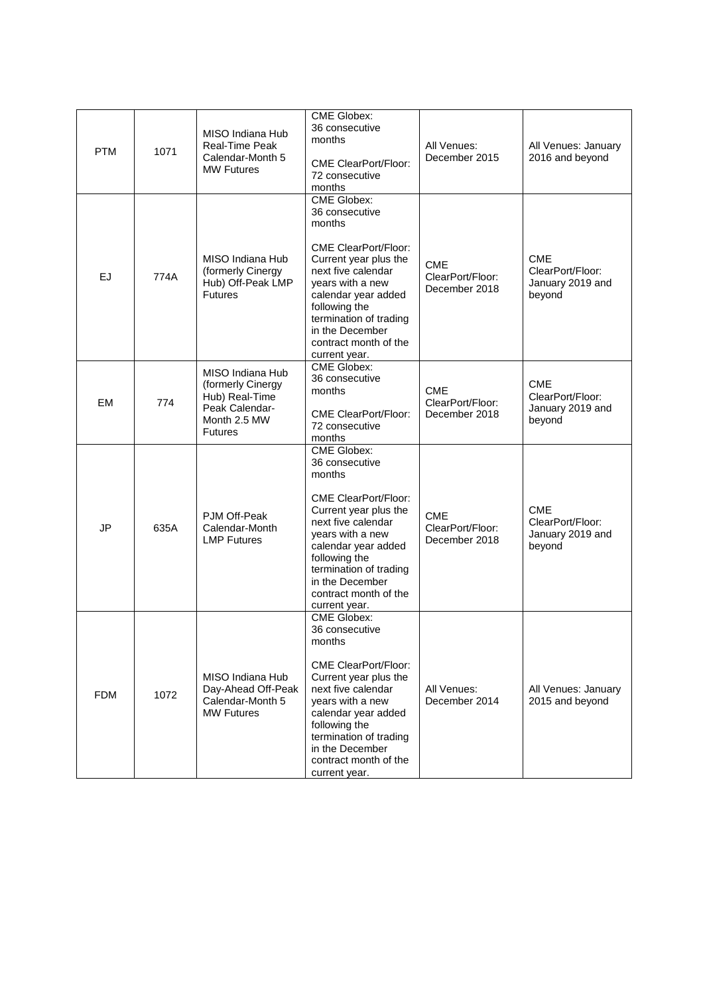| <b>PTM</b> | 1071 | MISO Indiana Hub<br><b>Real-Time Peak</b><br>Calendar-Month 5<br><b>MW Futures</b>                          | <b>CME Globex:</b><br>36 consecutive<br>months<br><b>CME ClearPort/Floor:</b><br>72 consecutive<br>months                                                                                                                                                                       | All Venues:<br>December 2015                    | All Venues: January<br>2016 and beyond                       |
|------------|------|-------------------------------------------------------------------------------------------------------------|---------------------------------------------------------------------------------------------------------------------------------------------------------------------------------------------------------------------------------------------------------------------------------|-------------------------------------------------|--------------------------------------------------------------|
| EJ         | 774A | MISO Indiana Hub<br>(formerly Cinergy<br>Hub) Off-Peak LMP<br><b>Futures</b>                                | <b>CME Globex:</b><br>36 consecutive<br>months<br><b>CME ClearPort/Floor:</b><br>Current year plus the<br>next five calendar<br>years with a new<br>calendar year added<br>following the<br>termination of trading<br>in the December<br>contract month of the<br>current year. | <b>CME</b><br>ClearPort/Floor:<br>December 2018 | <b>CME</b><br>ClearPort/Floor:<br>January 2019 and<br>beyond |
| EM         | 774  | MISO Indiana Hub<br>(formerly Cinergy<br>Hub) Real-Time<br>Peak Calendar-<br>Month 2.5 MW<br><b>Futures</b> | <b>CME Globex:</b><br>36 consecutive<br>months<br><b>CME ClearPort/Floor:</b><br>72 consecutive<br>months                                                                                                                                                                       | <b>CME</b><br>ClearPort/Floor:<br>December 2018 | <b>CME</b><br>ClearPort/Floor:<br>January 2019 and<br>beyond |
| JP         | 635A | PJM Off-Peak<br>Calendar-Month<br><b>LMP Futures</b>                                                        | <b>CME Globex:</b><br>36 consecutive<br>months<br><b>CME ClearPort/Floor:</b><br>Current year plus the<br>next five calendar<br>years with a new<br>calendar year added<br>following the<br>termination of trading<br>in the December<br>contract month of the<br>current year. | <b>CME</b><br>ClearPort/Floor:<br>December 2018 | <b>CME</b><br>ClearPort/Floor:<br>January 2019 and<br>beyond |
| <b>FDM</b> | 1072 | MISO Indiana Hub<br>Day-Ahead Off-Peak<br>Calendar-Month 5<br><b>MW Futures</b>                             | <b>CME Globex:</b><br>36 consecutive<br>months<br><b>CME ClearPort/Floor:</b><br>Current year plus the<br>next five calendar<br>vears with a new<br>calendar year added<br>following the<br>termination of trading<br>in the December<br>contract month of the<br>current year. | All Venues:<br>December 2014                    | All Venues: January<br>2015 and beyond                       |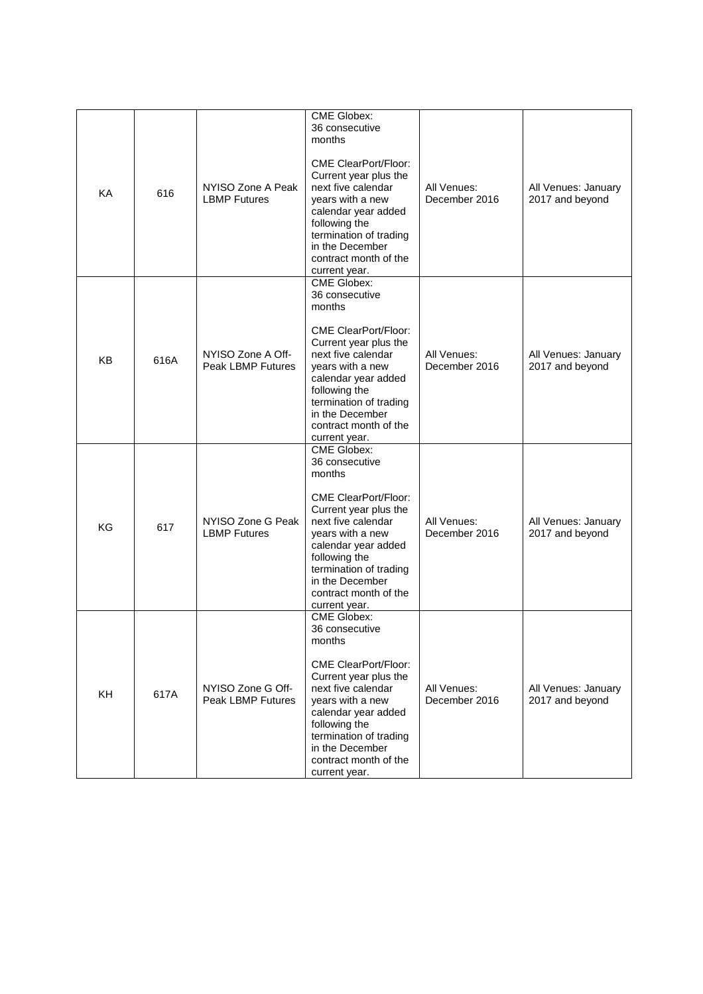| KA        | 616  | NYISO Zone A Peak<br><b>LBMP Futures</b>      | <b>CME Globex:</b><br>36 consecutive<br>months<br><b>CME ClearPort/Floor:</b><br>Current year plus the<br>next five calendar<br>years with a new<br>calendar year added<br>following the<br>termination of trading<br>in the December<br>contract month of the<br>current year. | All Venues:<br>December 2016 | All Venues: January<br>2017 and beyond |
|-----------|------|-----------------------------------------------|---------------------------------------------------------------------------------------------------------------------------------------------------------------------------------------------------------------------------------------------------------------------------------|------------------------------|----------------------------------------|
| <b>KB</b> | 616A | NYISO Zone A Off-<br><b>Peak LBMP Futures</b> | <b>CME Globex:</b><br>36 consecutive<br>months<br><b>CME ClearPort/Floor:</b><br>Current year plus the<br>next five calendar<br>years with a new<br>calendar year added<br>following the<br>termination of trading<br>in the December<br>contract month of the<br>current year. | All Venues:<br>December 2016 | All Venues: January<br>2017 and beyond |
| KG        | 617  | NYISO Zone G Peak<br><b>LBMP Futures</b>      | <b>CME Globex:</b><br>36 consecutive<br>months<br><b>CME ClearPort/Floor:</b><br>Current year plus the<br>next five calendar<br>years with a new<br>calendar year added<br>following the<br>termination of trading<br>in the December<br>contract month of the<br>current year. | All Venues:<br>December 2016 | All Venues: January<br>2017 and beyond |
| <b>KH</b> | 617A | NYISO Zone G Off-<br><b>Peak LBMP Futures</b> | CME Globex:<br>36 consecutive<br>months<br><b>CME ClearPort/Floor:</b><br>Current year plus the<br>next five calendar<br>years with a new<br>calendar year added<br>following the<br>termination of trading<br>in the December<br>contract month of the<br>current year.        | All Venues:<br>December 2016 | All Venues: January<br>2017 and beyond |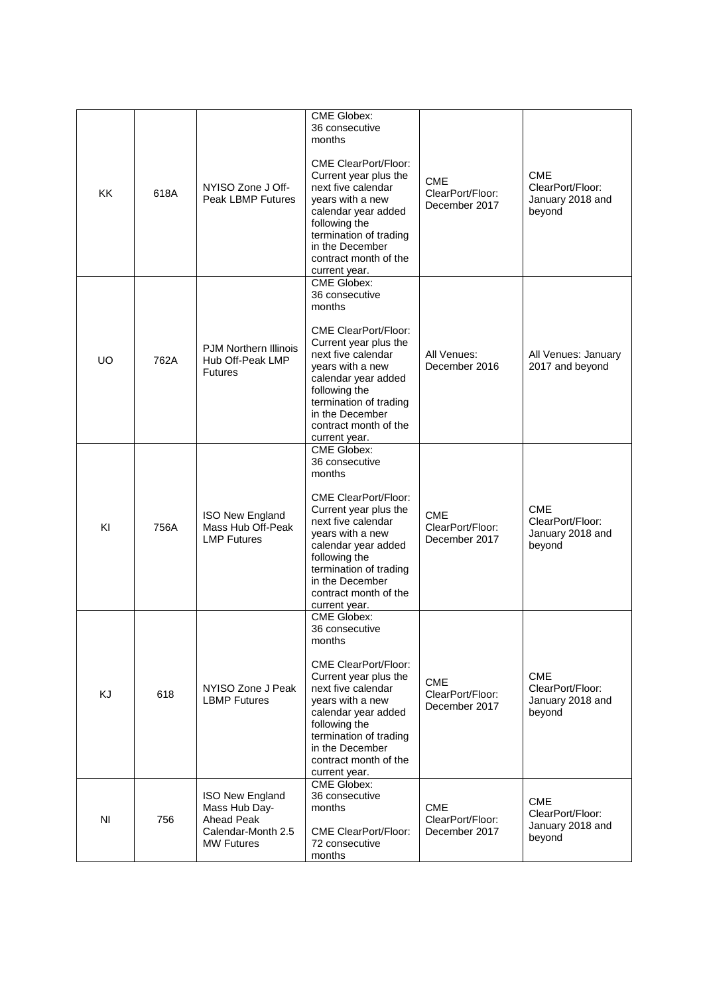| KK        | 618A | NYISO Zone J Off-<br><b>Peak LBMP Futures</b>                                             | <b>CME Globex:</b><br>36 consecutive<br>months<br><b>CME ClearPort/Floor:</b><br>Current year plus the<br>next five calendar<br>years with a new<br>calendar year added<br>following the<br>termination of trading<br>in the December<br>contract month of the<br>current year. | <b>CME</b><br>ClearPort/Floor:<br>December 2017 | <b>CME</b><br>ClearPort/Floor:<br>January 2018 and<br>beyond |
|-----------|------|-------------------------------------------------------------------------------------------|---------------------------------------------------------------------------------------------------------------------------------------------------------------------------------------------------------------------------------------------------------------------------------|-------------------------------------------------|--------------------------------------------------------------|
| <b>UO</b> | 762A | <b>PJM Northern Illinois</b><br>Hub Off-Peak LMP<br><b>Futures</b>                        | <b>CME Globex:</b><br>36 consecutive<br>months<br><b>CME ClearPort/Floor:</b><br>Current year plus the<br>next five calendar<br>years with a new<br>calendar year added<br>following the<br>termination of trading<br>in the December<br>contract month of the<br>current year. | All Venues:<br>December 2016                    | All Venues: January<br>2017 and beyond                       |
| KI        | 756A | ISO New England<br>Mass Hub Off-Peak<br><b>LMP Futures</b>                                | <b>CME Globex:</b><br>36 consecutive<br>months<br><b>CME ClearPort/Floor:</b><br>Current year plus the<br>next five calendar<br>years with a new<br>calendar year added<br>following the<br>termination of trading<br>in the December<br>contract month of the<br>current year. | <b>CME</b><br>ClearPort/Floor:<br>December 2017 | <b>CME</b><br>ClearPort/Floor:<br>January 2018 and<br>beyond |
| KJ        | 618  | NYISO Zone J Peak<br><b>LBMP Futures</b>                                                  | CME Globex:<br>36 consecutive<br>months<br><b>CME ClearPort/Floor:</b><br>Current year plus the<br>next five calendar<br>years with a new<br>calendar year added<br>following the<br>termination of trading<br>in the December<br>contract month of the<br>current year.        | CME<br>ClearPort/Floor:<br>December 2017        | <b>CME</b><br>ClearPort/Floor:<br>January 2018 and<br>beyond |
| ΝI        | 756  | ISO New England<br>Mass Hub Day-<br>Ahead Peak<br>Calendar-Month 2.5<br><b>MW Futures</b> | <b>CME Globex:</b><br>36 consecutive<br>months<br><b>CME ClearPort/Floor:</b><br>72 consecutive<br>months                                                                                                                                                                       | <b>CME</b><br>ClearPort/Floor:<br>December 2017 | <b>CME</b><br>ClearPort/Floor:<br>January 2018 and<br>beyond |